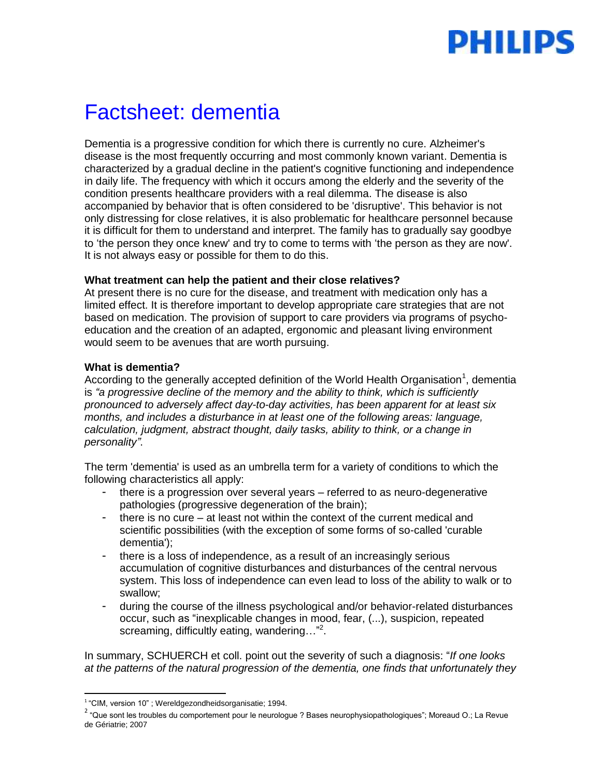# PHILIPS

# Factsheet: dementia

Dementia is a progressive condition for which there is currently no cure. Alzheimer's disease is the most frequently occurring and most commonly known variant. Dementia is characterized by a gradual decline in the patient's cognitive functioning and independence in daily life. The frequency with which it occurs among the elderly and the severity of the condition presents healthcare providers with a real dilemma. The disease is also accompanied by behavior that is often considered to be 'disruptive'. This behavior is not only distressing for close relatives, it is also problematic for healthcare personnel because it is difficult for them to understand and interpret. The family has to gradually say goodbye to 'the person they once knew' and try to come to terms with 'the person as they are now'. It is not always easy or possible for them to do this.

#### **What treatment can help the patient and their close relatives?**

At present there is no cure for the disease, and treatment with medication only has a limited effect. It is therefore important to develop appropriate care strategies that are not based on medication. The provision of support to care providers via programs of psychoeducation and the creation of an adapted, ergonomic and pleasant living environment would seem to be avenues that are worth pursuing.

#### **What is dementia?**

According to the generally accepted definition of the World Health Organisation<sup>1</sup>, dementia is *"a progressive decline of the memory and the ability to think, which is sufficiently pronounced to adversely affect day-to-day activities, has been apparent for at least six months, and includes a disturbance in at least one of the following areas: language, calculation, judgment, abstract thought, daily tasks, ability to think, or a change in personality"*.

The term 'dementia' is used as an umbrella term for a variety of conditions to which the following characteristics all apply:

- there is a progression over several years referred to as neuro-degenerative pathologies (progressive degeneration of the brain);
- there is no cure  $-$  at least not within the context of the current medical and scientific possibilities (with the exception of some forms of so-called 'curable dementia');
- there is a loss of independence, as a result of an increasingly serious accumulation of cognitive disturbances and disturbances of the central nervous system. This loss of independence can even lead to loss of the ability to walk or to swallow;
- during the course of the illness psychological and/or behavior-related disturbances occur, such as "inexplicable changes in mood, fear, (...), suspicion, repeated screaming, difficultly eating, wandering..."<sup>2</sup>.

In summary, SCHUERCH et coll. point out the severity of such a diagnosis: "*If one looks at the patterns of the natural progression of the dementia, one finds that unfortunately they* 

 1 "CIM, version 10" ; Wereldgezondheidsorganisatie; 1994.

<sup>&</sup>lt;sup>2</sup> "Que sont les troubles du comportement pour le neurologue ? Bases neurophysiopathologiques"; Moreaud O.; La Revue de Gériatrie; 2007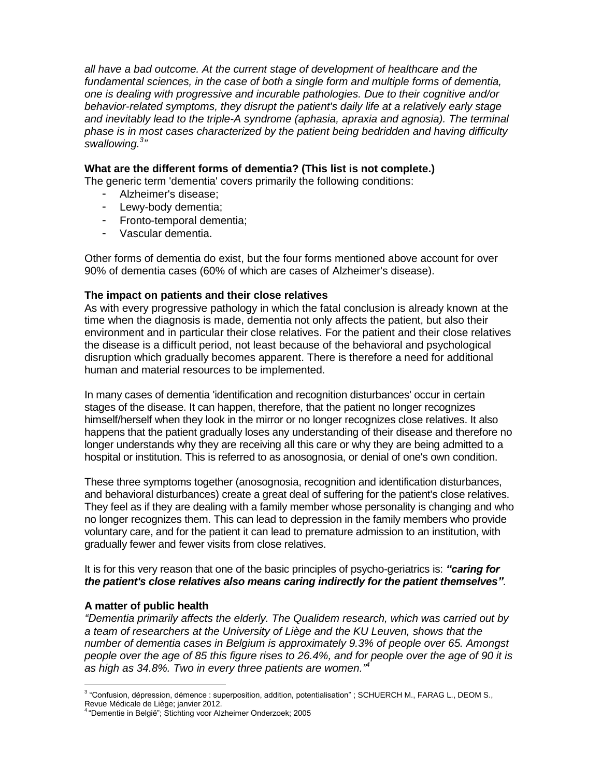*all have a bad outcome. At the current stage of development of healthcare and the fundamental sciences, in the case of both a single form and multiple forms of dementia, one is dealing with progressive and incurable pathologies. Due to their cognitive and/or behavior-related symptoms, they disrupt the patient's daily life at a relatively early stage and inevitably lead to the triple-A syndrome (aphasia, apraxia and agnosia). The terminal phase is in most cases characterized by the patient being bedridden and having difficulty* swallowing.<sup>3</sup><sup>2</sup>

#### **What are the different forms of dementia? (This list is not complete.)**

The generic term 'dementia' covers primarily the following conditions:

- Alzheimer's disease;
- Lewy-body dementia;
- Fronto-temporal dementia;
- Vascular dementia.

Other forms of dementia do exist, but the four forms mentioned above account for over 90% of dementia cases (60% of which are cases of Alzheimer's disease).

#### **The impact on patients and their close relatives**

As with every progressive pathology in which the fatal conclusion is already known at the time when the diagnosis is made, dementia not only affects the patient, but also their environment and in particular their close relatives. For the patient and their close relatives the disease is a difficult period, not least because of the behavioral and psychological disruption which gradually becomes apparent. There is therefore a need for additional human and material resources to be implemented.

In many cases of dementia 'identification and recognition disturbances' occur in certain stages of the disease. It can happen, therefore, that the patient no longer recognizes himself/herself when they look in the mirror or no longer recognizes close relatives. It also happens that the patient gradually loses any understanding of their disease and therefore no longer understands why they are receiving all this care or why they are being admitted to a hospital or institution. This is referred to as anosognosia, or denial of one's own condition.

These three symptoms together (anosognosia, recognition and identification disturbances, and behavioral disturbances) create a great deal of suffering for the patient's close relatives. They feel as if they are dealing with a family member whose personality is changing and who no longer recognizes them. This can lead to depression in the family members who provide voluntary care, and for the patient it can lead to premature admission to an institution, with gradually fewer and fewer visits from close relatives.

It is for this very reason that one of the basic principles of psycho-geriatrics is: *"caring for the patient's close relatives also means caring indirectly for the patient themselves"*.

## **A matter of public health**

*"Dementia primarily affects the elderly. The Qualidem research, which was carried out by a team of researchers at the University of Liège and the KU Leuven, shows that the number of dementia cases in Belgium is approximately 9.3% of people over 65. Amongst people over the age of 85 this figure rises to 26.4%, and for people over the age of 90 it is as high as 34.8%. Two in every three patients are women."<sup>4</sup>*

 3 "Confusion, dépression, démence : superposition, addition, potentialisation" ; SCHUERCH M., FARAG L., DEOM S., Revue Médicale de Liège; janvier 2012.<br><sup>4</sup> "Dementie in België": Stichting voor Alz

<sup>4</sup>"Dementie in België"; Stichting voor Alzheimer Onderzoek; 2005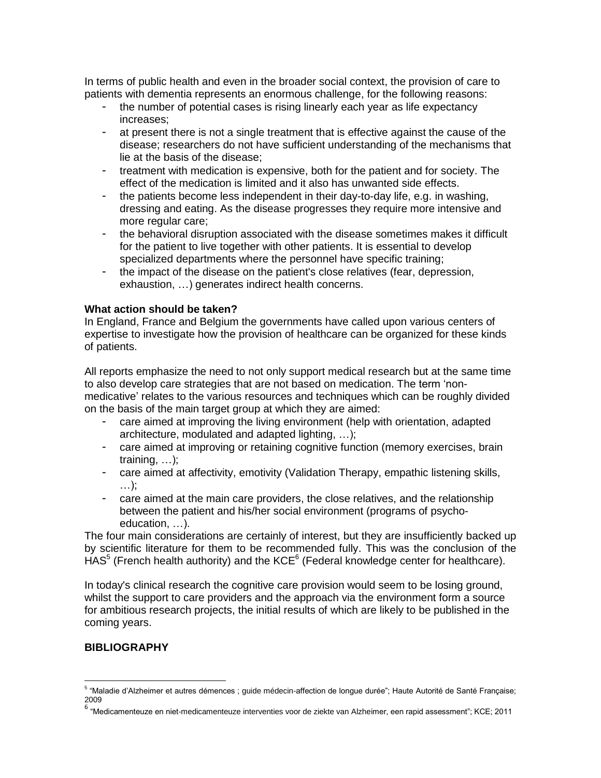In terms of public health and even in the broader social context, the provision of care to patients with dementia represents an enormous challenge, for the following reasons:

- the number of potential cases is rising linearly each year as life expectancy increases;
- at present there is not a single treatment that is effective against the cause of the disease; researchers do not have sufficient understanding of the mechanisms that lie at the basis of the disease;
- treatment with medication is expensive, both for the patient and for society. The effect of the medication is limited and it also has unwanted side effects.
- the patients become less independent in their day-to-day life, e.g. in washing, dressing and eating. As the disease progresses they require more intensive and more regular care;
- the behavioral disruption associated with the disease sometimes makes it difficult for the patient to live together with other patients. It is essential to develop specialized departments where the personnel have specific training;
- the impact of the disease on the patient's close relatives (fear, depression, exhaustion, …) generates indirect health concerns.

#### **What action should be taken?**

In England, France and Belgium the governments have called upon various centers of expertise to investigate how the provision of healthcare can be organized for these kinds of patients.

All reports emphasize the need to not only support medical research but at the same time to also develop care strategies that are not based on medication. The term 'nonmedicative' relates to the various resources and techniques which can be roughly divided on the basis of the main target group at which they are aimed:

- care aimed at improving the living environment (help with orientation, adapted architecture, modulated and adapted lighting, …);
- care aimed at improving or retaining cognitive function (memory exercises, brain training, …);
- care aimed at affectivity, emotivity (Validation Therapy, empathic listening skills, …);
- care aimed at the main care providers, the close relatives, and the relationship between the patient and his/her social environment (programs of psychoeducation, …).

The four main considerations are certainly of interest, but they are insufficiently backed up by scientific literature for them to be recommended fully. This was the conclusion of the  $HAS<sup>5</sup>$  (French health authority) and the KCE $<sup>6</sup>$  (Federal knowledge center for healthcare).</sup>

In today's clinical research the cognitive care provision would seem to be losing ground, whilst the support to care providers and the approach via the environment form a source for ambitious research projects, the initial results of which are likely to be published in the coming years.

## **BIBLIOGRAPHY**

 5 "Maladie d'Alzheimer et autres démences ; guide médecin-affection de longue durée"; Haute Autorité de Santé Française; 2009

<sup>6</sup> "Medicamenteuze en niet-medicamenteuze interventies voor de ziekte van Alzheimer, een rapid assessment"; KCE; 2011